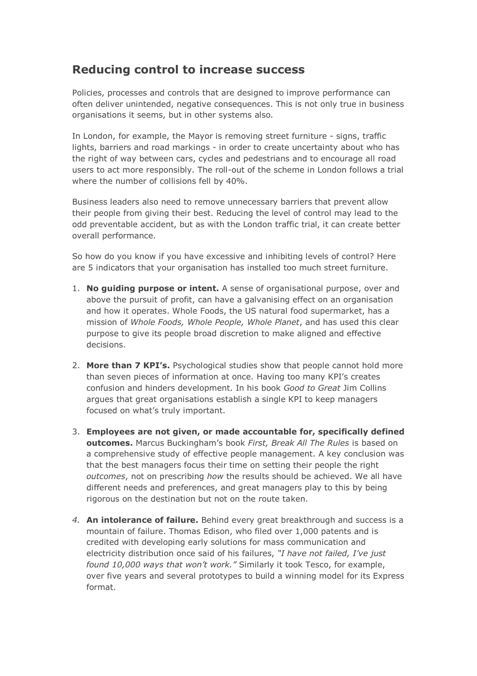## **Reducing control to increase success**

Policies, processes and controls that are designed to improve performance can often deliver unintended, negative consequences. This is not only true in business organisations it seems, but in other systems also.

In London, for example, the Mayor is removing street furniture - signs, traffic lights, barriers and road markings - in order to create uncertainty about who has the right of way between cars, cycles and pedestrians and to encourage all road users to act more responsibly. The roll-out of the scheme in London follows a trial where the number of collisions fell by 40%.

Business leaders also need to remove unnecessary barriers that prevent allow their people from giving their best. Reducing the level of control may lead to the odd preventable accident, but as with the London traffic trial, it can create better overall performance.

So how do you know if you have excessive and inhibiting levels of control? Here are 5 indicators that your organisation has installed too much street furniture.

- 1. **No guiding purpose or intent.** A sense of organisational purpose, over and above the pursuit of profit, can have a galvanising effect on an organisation and how it operates. Whole Foods, the US natural food supermarket, has a mission of *Whole Foods, Whole People, Whole Planet*, and has used this clear purpose to give its people broad discretion to make aligned and effective decisions.
- 2. **More than 7 KPI's.** Psychological studies show that people cannot hold more than seven pieces of information at once. Having too many KPI's creates confusion and hinders development. In his book *Good to Great* Jim Collins argues that great organisations establish a single KPI to keep managers focused on what's truly important.
- 3. **Employees are not given, or made accountable for, specifically defined outcomes.** Marcus Buckingham's book *First, Break All The Rules* is based on a comprehensive study of effective people management. A key conclusion was that the best managers focus their time on setting their people the right *outcomes*, not on prescribing *how* the results should be achieved. We all have different needs and preferences, and great managers play to this by being rigorous on the destination but not on the route taken.
- *4.* **An intolerance of failure.** Behind every great breakthrough and success is a mountain of failure. Thomas Edison, who filed over 1,000 patents and is credited with developing early solutions for mass communication and electricity distribution once said of his failures, *"I have not failed, I've just found 10,000 ways that won't work."* Similarly it took Tesco, for example, over five years and several prototypes to build a winning model for its Express format.